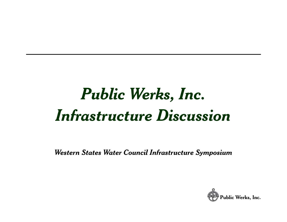# *Public Werks Inc , . Infrastructure Discussion*

*Western States Water Council Infrastructure Symposium*

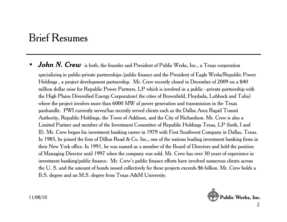### Brief Resumes

 $\bullet$ **•** *John N. Crew* is both, the founder and President of Public Werks, Inc., a Texas corporation

specializing in public-private partnerships /public finance and the President of Eagle Werks/Republic Power Holdings , a project development partnership. Mr. Crew recently closed in December of 2009 on a \$40 million dollar raise for Republic Power Partners, LP which is involved in a public –private partnership with the High Plains Diversified Energy Corporation (the cities of Brownfield, Floydada, Lubbock and Tulia) where the project involves more than 6000 MW of power generation and transmission in the Texas panhandle. PWI currently serves/has recently served clients such as the Dallas Area Rapid Transit Authority, Republic Holdings, the Town of Addison, and the City of Richardson. Mr. Crew is also a Limited Partner and member of the Investment Committee of Republic Holdings Texas, LP (both, I and , II). Mr. Crew began his investment banking career in 1979 with First Southwest Company in Dallas, Texas. In 1983, he joined the firm of Dillon Read & Co. Inc., one of the nations leading investment banking firms in their New York office. In 1991, he was named as a member of the Board of Directors and held the position of Managing Director until 1997 when the company was sold. Mr. Crew has over 30 years of experience in investment banking/public finance. Mr. Crew's public finance efforts have involved numerous clients across the U. S. and the amount of bonds issued collectively for these projects exceeds \$6 billion. Mr. Crew holds a B.S. degree and an M.S. degree from Texas A&M University.

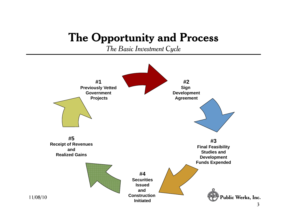### **The Opportunity and Process**

*The Basic Investment Cycle*



11/08/10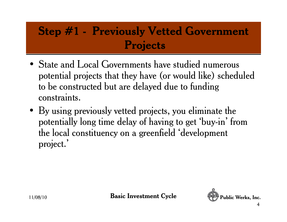### **Step #1 - Previously Vetted Government P j ro ects**

- State and Local Governments have studied numerous potential projects that they have (or would like) scheduled to be constructed but are delayed due to funding constraints.
- By using previously vetted projects, you eliminate the potentially long time delay of having to get 'buy-in' from the local constituency on a greenfield 'development project.'

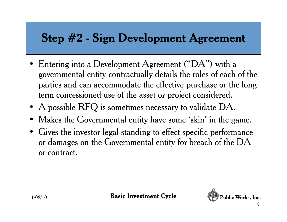### **Step #2 - Sign Development Agreement**

- Entering into a Development Agreement ("DA") with a governmental entity contractually details the roles of each of the parties and can accommodate the effective purchase or the long term concessioned use of the asset or project considered.
- A possible RFQ is sometimes necessary to validate DA.
- $\bullet$ Makes the Governmental entity have some 'skin' in the game.
- Gives the investor legal standing to effect specific performance or damages on the Governmental entity for breach of the DA or contract.

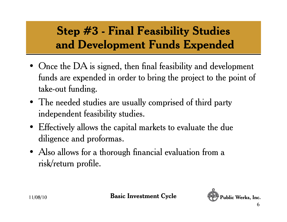# **Step #3 - Final Feasibility Studies** and Development Funds Expended

- Once the DA is signed, then final feasibility and development funds are expended in order to bring the project to the point of take-out funding.
- The needed studies are usually comprised of third party independent feasibility studies.
- Effectively allows the capital markets to evaluate the due diligence and proformas.
- Also allows for a thorough financial evaluation from a risk/return profile.

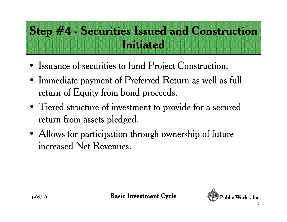# **Step #4 - Securities Issued and Construction I ii d nit iate**

- Issuance of securities to fund Project Construction.
- Immediate payment of Preferred Return as well as full return of Equity from bond proceeds.
- Tiered structure of investment to provide for a secured return from assets pledged.
- Allows for participation through ownership of future increased Net Revenues.

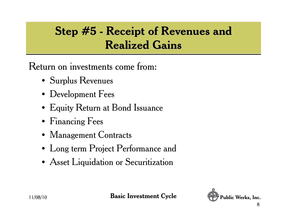## **Step #5 - Receipt of Revenues and R li d G i Realized ains**

Return on investments come from:

- Surplus Revenues
- Development Fees
- Equity Return at Bond Issuance
- Financin g Fees
- Management Contracts
- Long term Project Performance and
- Asset Liquidation or Securitization



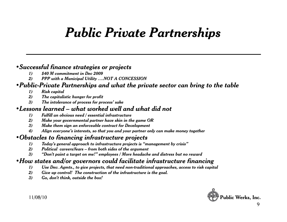# *Public Private Partnerships*

#### *•Successful finance strategies or projects*

- *1) \$40 M commitment in Dec 2009*
- *2) PPP with a Municipal Utility ….NOT A CONCESSION*

#### *•Public-Private Partnerships and what the private sector can bring to the table*

- *1) Risk capital*
- *2) The capitalistic hunger for profit*
- *3) The intolerance of process for process' sake*

#### *•Lessons learned – what worked well and what did not*

- *1) Fulfill an obvious need / essential infrastructure*
- *2) Make your governmental partner have skin in the game OR*
- 3) Make them sign an enforceable contract for Development
- *4) Align everyone's interests, so that you and your partner only can make money together*

#### *•Obstacles to financing infrastructure projects*

- *1) Today's general approach to infrastructure projects is "management by crisis"*
- *2) Political careers/fears – from both sides of the argument*
- 3) "Don't paint a target on me!" employees / More headache and distress but no reward

#### *•How states and/or governors could facilitate infrastructure financing*

- *1) Use Dev. Agmts., to give projects, that need non-traditional approaches, access to risk capital*
- *2) Give up control! The construction of the infrastructure is the goal.*
- *3) Go, don't think, outside the box!*